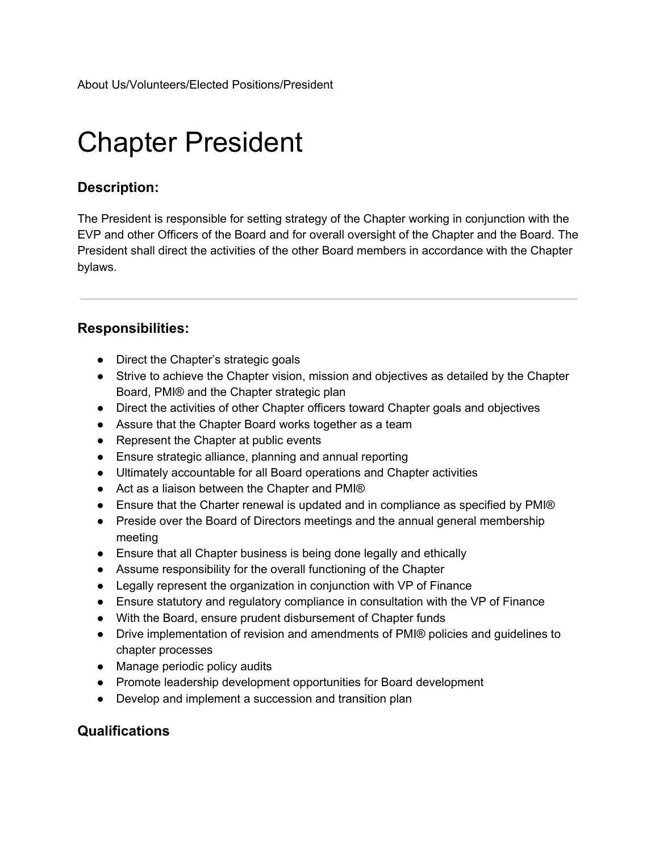# Chapter President

# **Description:**

The President is responsible for setting strategy of the Chapter working in conjunction with the EVP and other Officers of the Board and for overall oversight of the Chapter and the Board. The President shall direct the activities of the other Board members in accordance with the Chapter bylaws.

## **Responsibilities:**

- Direct the Chapter's strategic goals
- Strive to achieve the Chapter vision, mission and objectives as detailed by the Chapter Board, PMI® and the Chapter strategic plan
- Direct the activities of other Chapter officers toward Chapter goals and objectives
- Assure that the Chapter Board works together as a team
- Represent the Chapter at public events
- Ensure strategic alliance, planning and annual reporting
- Ultimately accountable for all Board operations and Chapter activities
- Act as a liaison between the Chapter and PMI®
- Ensure that the Charter renewal is updated and in compliance as specified by PMI®
- Preside over the Board of Directors meetings and the annual general membership meeting
- Ensure that all Chapter business is being done legally and ethically
- Assume responsibility for the overall functioning of the Chapter
- Legally represent the organization in conjunction with VP of Finance
- Ensure statutory and regulatory compliance in consultation with the VP of Finance
- With the Board, ensure prudent disbursement of Chapter funds
- Drive implementation of revision and amendments of PMI® policies and guidelines to chapter processes
- Manage periodic policy audits
- Promote leadership development opportunities for Board development
- Develop and implement a succession and transition plan

# **Qualifications**